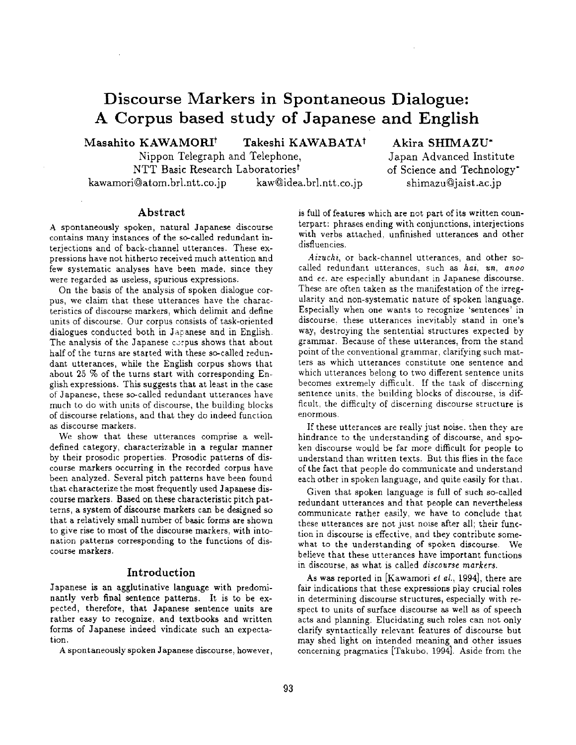# **Discourse Markers in Spontaneous Dialogue: A Corpus based study of Japanese and English**

Masahito KAWAMORI<sup>t</sup> Takeshi KAWABATA<sup>t</sup>

Nippon Telegraph and Telephone, NTT Basic Research Laboratories<sup>t</sup> kawamori@atom.brl.ntt.co.jp kaw@idea.brl.ntt.co.jp

# **Akira SHIMAZU"**

Japan Advanced Institute of Science and Technology" shimazu@jaist.ac.jp

### **Abstract**

A spontaneously spoken, natural Japanese discourse contains many instances of the so-called redundant interjections and of back-channel utterances. These expressions have not hitherto received much attention and few systematic analyses have been made, since they were regarded as useless, spurious expressions.

On the basis of the analysis of spoken dialogue corpus, we claim that these utterances have the characteristics of discourse markers, which delimit and define units of discourse. Our corpus consists of task-oriented dialogues conducted both in Jacanese and in English. The analysis of the Japanese corpus shows that about half of the turns are started with these so-called redundant utterances, while the English corpus shows that about 25 % of the turns start with corresponding English expressions. This suggests that at least in the case oi" Japanese, these so-called redundant utterances have much to do with units of discourse, the building blocks of discourse relations, and that they do indeed function as discourse markers.

We show that these utterances comprise a welldefined category, characterizable in a regular manner by their prosodic properties. Prosodic patterns of discourse markers occurring in the recorded corpus have been analyzed. Several pitch patterns have been found that characterize the most frequently used Japanese discourse markers. Based on these characteristic pitch patterns, a system of discourse markers can be designed so that a relatively small number of basic forms are shown to give rise to most of the discourse markers, with intonation patterns corresponding to the functions of discourse markers.

## Introduction

Japanese is an agglutinative language with predominantly verb final sentence patterns. It is to be expected, therefore, that Japanese sentence units are rather easy to recognize, and textbooks and written forms of Japanese indeed vindicate such an expectation.

A spontaneously spoken Japanese discourse, however,

is full of features which are not part of its written counterpart: phrases ending with conjunctions, interjections with verbs attached, unfinished utterances and other disfluencies.

*Aizuchi,* or back-channel utterances, and other socalled redundant utterances, such as *hai, un, anoo*  and ee, are especially abundant in Japanese discourse. These are often taken as the manifestation of the irregularity and non-systematic nature of spoken language. Especially when one wants to recognize 'sentences' in discourse, these utterances inevitably stand in one's way, destroying the sentential structures expected by grammar. Because of these utterances, from the stand point of the conventional grammar, clarifying such matters as which utterances constitute one sentence and which utterances belong to two different sentence units becomes extremely difficult. If the task of discerning sentence units, the building blocks of discourse, is difficult, the difficulty of discerning discourse structure is enormous.

If these utterances are really just noise, then they are hindrance to the understanding of discourse, and spoken discourse would be far more difficult for people to understand than written texts. But this flies in the face of the fact that people do communicate and understand each other in spoken language, and quite easily for that.

Given that spoken language is full of such so-called redundant utterances and that people can nevertheless communicate rather easily, we have to conclude that these utterances are not just noise after all; their function in discourse is effective, and they contribute somewhat to the understanding of spoken discourse. We believe that these utterances have important functions in discourse, as what is called *discourse markers.* 

As was reported in [Kawamori et *al.,* 1994], there are fair indications that these expressions play crucial roles in determining discourse structures, especially with respect to units of surface discourse as well as of speech acts and planning. Elucidating such roles can not only clarify syntactically relevant features of discourse but may shed light on intended meaning and other issues concerning pragmatics [Takubo, 1994]. Aside from the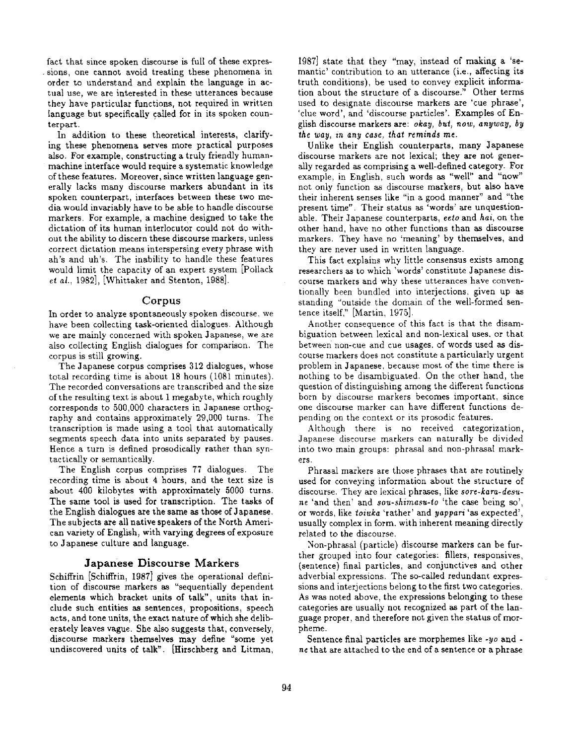fact that since spoken discourse is full of these expressions, one cannot avoid treating these phenomena in order to understand and explain the language in actual use, we are interested in these utterances because they have particular functions, not required in written language but specifically called for in its spoken counterpart.

In addition to these theoretical interests, clarifying these phenomena serves more practical purposes also. For example, constructing a truly friendly humanmachine interface would require a systematic knowledge of these features. Moreover, since written language generally lacks many discourse markers abundant in its spoken counterpart, interfaces between these two media would invariably have to be able to handle discourse markers. For example, a machine designed to take the dictation of its human interlocutor could not do without the ability to discern these discourse markers, unless correct dictation means interspersing every phrase with ah's and uh's. The inability to handle these features would limit the capacity of an expert system [Pollack *et al.,* 1982], [Whittaker and Stenton, 1988].

#### Corpus

In order to analyze spontaneously spoken discourse, we have been collecting task-oriented dialogues. Although we are mainly concerned with spoken Japanese, we are also collecting English dialogues for comparison. The corpus is still growing.

The Japanese corpus comprises 312 dialogues, whose total recording time is about 18 hours (1081 minutes). The recorded conversations are transcribed and the size of the resulting text is about 1 megabyte, which roughly corresponds to 500,000 characters in Japanese orthography and contains approximately 29,000 turns. The transcription is made using a tool that automatically segments speech data into units separated by pauses. Hence a turn is defined prosodically rather than syntactically or semantically.

The English corpus comprises 77 dialogues. The recording time is about 4 hours, and the text size is about 400 kilobytes with approximately 5000 turns. The same tool is used for transcription. The tasks of the English dialogues are the same as those of Japanese. The subjects are all native speakers of the North American variety of English, with varying degrees of exposure to Japanese culture and language.

#### **Japanese Discourse** Markers

Schiffrin [Schiffrin, 1987] gives the operational definition of discourse markers as "sequentially dependent elements which bracket units of talk", units that include such entities as sentences, propositions, speech acts, and tone units, the exact nature of which she deliberately leaves vague. She also suggests that, conversely, discourse markers themselves may define "some yet undiscovered units of talk". [Hirschberg and Litman, 1987] state that they "may, instead of making a 'semantic' contribution to an utterance (i.e., affecting its truth conditions), be used to convey explicit information about the structure of a discourse." Other terms used to designate discourse markers are 'cue phrase', 'clue word', and 'discourse particles'. Examples of English discourse markers are: *okay, but, now, anyway, by the way, in any case, that reminds me.* 

Unlike their English counterparts, many Japanese discourse markers are not lexical; they are not generally regarded as comprising a well-defined category. For example, in English, such words as "well" and "now" not only function as discourse markers, but also have their inherent senses like "in a good manner" and "the present time". Their status as 'words' are unquestionable. Their Japanese counterparts, *eeto* and *hal,* on the other hand, have no other functions than as discourse markers. They have no 'meaning' by themselves, and they are never used in written language.

This fact explains why little consensus exists among researchers as to which 'words' constitute Japanese discourse markers and why these utterances have conventionally been bundled into interjections, given up as standing "outside the domain of the well-formed sentence itself," [Martin, 1975].

Another consequence of this fact is that the disambiguation between lexical and non-lexical uses. or that between non-cue and cue usages, of words used as discourse markers does not constitute a particularly urgent problem in Japanese, because most of the time there is nothing to be disambiguated. On the other hand, the question of distinguishing among the different functions born by discourse markers becomes important, since one discourse marker can have different functions depending on the context or its prosodic features.

Although there is no received categorization, Japanese discourse markers can naturally be divided into two main groups: phrasal and non-phrasal markers.

Phrasal markers are those phrases that are routinely used for conveying information about the structure of discourse. They are lexical phrases, like *sore-kara-desu*ne 'and then' and *sou.shimasu-to* 'the case being so', or words, like *toiuka* 'rather' and *yappari* 'as expected', usually complex in form, with inherent meaning directly related to the discourse.

Non-phrasal (particle) discourse markers can be further grouped into four categories: fillers, responsives, (sentence) final particles, and conjunctives and other adverbial expressions. The so-called redundant expressions and interjections belong to the first two categories. As was noted above, the expressions belonging to these categories are usually not recognized as part of the language proper, and therefore not given the status of morpheme.

Sentence final particles are morphemes like *-yo* and *ne* that are attached to the end of a sentence or a phrase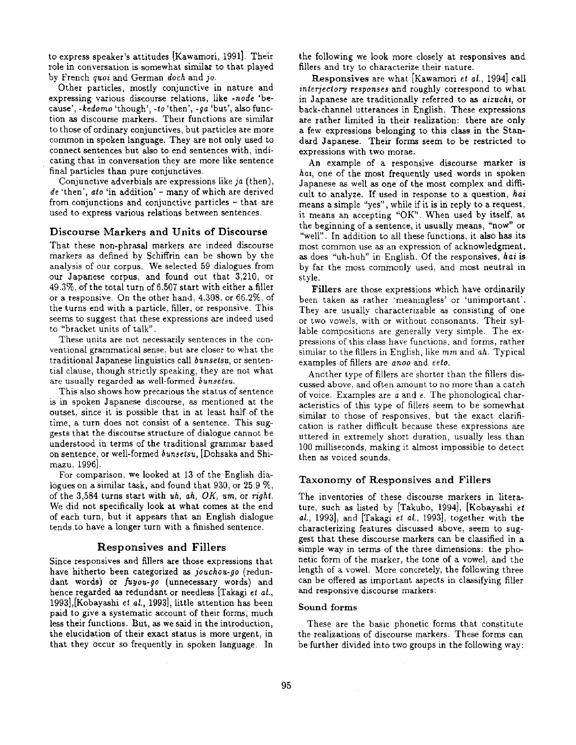to express speaker's attitudes [Kawamori, 1991]. Their role in conversation is somewhat similar to that played by French *quoi* and German *doch* and *jo.* 

Other particles, mostly conjunctive in nature and expressing various discourse relations, like *-node* 'because', *-kedorno* 'though', -to 'then', *-ga* 'but', also function as discourse markers. Their functions are similar to those of ordinary conjunctives, but particles are more common in spoken language. They are not only used to connect sentences but also to end sentences with, indicating that in conversation they are more like sentence final particles than pure conjunctives.

Conjunctive adverbials are expressions like *ja* (then), de 'then', *ato* 'in addition' - many of which are derived from conjunctions and conjunctive particles - that are used to express various relations between sentences.

#### **Discourse Markers and Units of Discourse**

That these non-phrasal markers are indeed discourse markers as defined by Schiffrin can be shown by the analysis of our corpus. We selected 59 dialogues from our Japanese corpus, and found out that 3,210, or 49.3%, of the total turn of 6,507 start with either a filler or a responsive. On the other hand, 4,308, or 66.2%, of the turns end with a particle, filler, or responsive. This seems to suggest that these expressions are indeed used to "bracket units of talk".

These units are not necessarily sentences in the conventional grammatical sense, but are closer to what the traditional Japanese linguistics call *bunsetsu*, or sentential clause, though strictly speaking, they are not what are usually regarded as well-formed *bunsetsu.* 

This also shows how precarious the status of sentence is in spoken Japanese discourse, as mentioned at the outset, since it is possible that in at least half of the time, a turn does not consist of a sentence. This suggests that the discourse structure of dialogue cannot be understood in terms of the traditional grammar based on sentence, or well-formed *bunsetsu,* [Dohsaka and Shimazu, 1996].

For comparison, we looked at 13 of the English dialogues on a similar task, and found that 930, or 25.9 %, of the 3,584 turns start with *uh, ah, OK, urn,* or *right.*  We did not specifically look at what comes at the end of each turn, but it appears that an English dialogue tends to have a longer turn with a finished sentence.

#### **Responsives and Fillers**

Since responsives and fillers are those expressions that have hitherto been categorized as *jouchou-go* (redundant words) or *fuyou-go* (unnecessary words) and hence regarded as redundant or needless [Takagi et *al.,*  1993],[Kobayashi et *al.,* 1993], little attention has been paid to give a systematic account of their forms, much less their functions. But, as we said in the introduction, the elucidation of their exact status is more urgent, in that they occur so frequently in spoken language. In the following we look more closely at responsives and fillers and try to characterize their nature.

Responsives are what [Kawamori et *al.,* 1994] call *interjectory responses* and roughly correspond to what in Japanese are traditionally referred to as *aizuchi,* or back-channel utterances in English. These expressions are rather limited in their realization: there are only a few expressions belonging to this class in the Standard Japanese. Their forms seem to be restricted to expressions with two morae.

An example of a responsive discourse marker **is**  *hal,* one of the most frequently used words in spoken Japanese as well as one of the most complex and difficult to analyze. If used in response to a question, *hai*  means a simple "yes", while if it is in reply to a request, it means an accepting "OK". When used by itself, at the beginning of a sentence, it usually means, "now" or "well". In addition to all these functions, it also has its most common use as an expression of acknowledgment, as does "uh-huh" in English. Of the responsives, hat is by far the most commonly used, and most neutral in style.

Fillers are those expressions which have ordinarily been taken as rather 'meaningless' or 'unimportant'. They are usually characterizable as consisting of one or two vowels, with or without consonants. Their syllable compositions are generally very simple. The expressions of this class have functions, and forms, rather similar to the fillers in English, like *mm* and *ah.* Typical examples of fillers are *anoo* and *eeto.* 

Another type of fillers are shorter than the fillers discussed above, and often amount to no more than a catch of voice. Examples are a and e. The phonological characteristics of this type of fillers seem to be somewhat similar to those of responsives, but the exact clarification is rather difficult because these expressions are uttered in extremely short duration, usually less than 100 milliseconds, making it almost impossible to detect then as voiced sounds.

#### Taxonomy of Responsives and Fillers

The inventories of these discourse markers in literature, such as listed by [Takubo, 1994], [Kobayashi et *al.,* 1993], and [Takagi et al., 1993], together with the characterizing features discussed above, seem to suggest that these discourse markers can be classified in a simple way in terms of the three dimensions: the phonetic form of the marker, the tone of a vowel, and the length of a vowel. More concretely, the following three can be offered as important aspects in classifying filler and responsive discourse markers:

#### **Sound** forms

These are the basic phonetic forms that constitute the realizations of discourse markers. These forms can be further divided into two groups in the following way: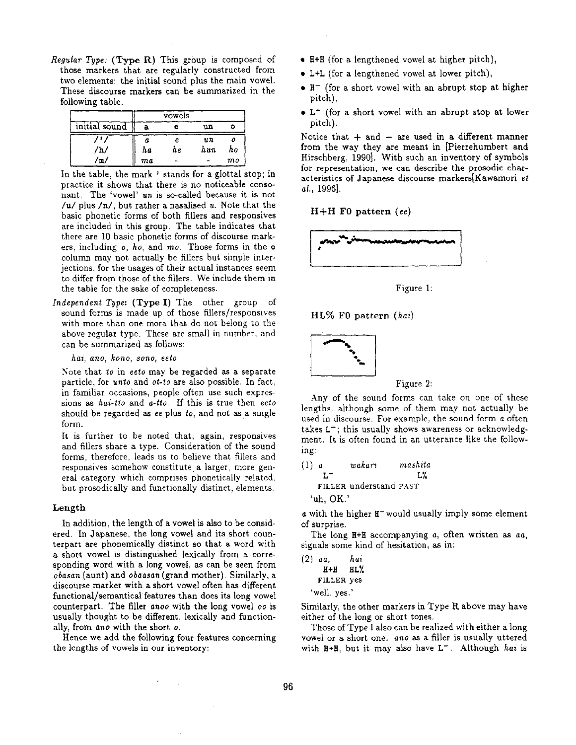*Regular Type:* (Type R) This group is composed of those markers that are regularly constructed from two elements: the initial sound plus the main vowel. These discourse markers can be summarized in the following table.

|               |     | vowels    |     |    |
|---------------|-----|-----------|-----|----|
| initial sound | a   |           | un  |    |
|               | o   | е         | n n |    |
| h.            | h a | hе        | hun | hο |
| m             | ma  | $\ddot{}$ |     | mo |

In the table, the mark ' stands for a glottal stop; in practice it shows that there is no noticeable consonant, The 'vowel' *un* is so-called because it is not /u/ plus  $/n/$ , but rather a nasalised u. Note that the basic phonetic forms of both fillers and responsives are included in this group. The table indicates that there are 10 basic phonetic forms of discourse markers, including o, *ho,* and *mo.* Those forms in the o column may not actually be fillers but simple interjections, for the usages of their actual instances seem to differ from those of the fillers. We include them in the table for the sake of completeness.

*Independent Type:* (Type I) The other group of sound forms is made up of those fillers/responsives with more than one mora that do not belong to the above regular type. These are small in number, and can be summarized as follows:

*hal, ano, kono, sono, eeto* 

Note that *to* in *eeto* may be regarded as a separate particle, for *unto* and *or-to* are also possible. In fact, in familiar occasions, people often use such expressions as *hal-fro* and *a-fro.* If this is true then eeto should be regarded as  $ee$  plus  $to$ , and not as a single form.

It is further to be noted that, again, responsives and fillers share a type. Consideration of the sound forms, therefore, leads us to believe that fillers and responsives somehow constitute a larger, more general category which comprises phonetically related, but prosodically and functionally distinct, elements.

#### Length

In addition, the length of a vowel is also to be considered. In Japanese, the long vowel and its short counterpart are phonemically distinct so that a word with a short vowel is distinguished lexically from a corresponding word with a long vowel, as can be seen from *obasan* (aunt) and *obaasan* (grand mother). Similarly, a discourse marker with a short vowel often has different functional/semantical features than does its long vowel counterpart. The filler *anoo* with the long vowel oo is usually thought to be different, lexically and functionally, from *ano* with the short o.

Hence we add the following four features concerning the lengths of vowels in our inventory:

- H+H (for a lengthened vowel at higher pitch),
- L+L (for a lengthened vowel at lower pitch),
- H- (for a short vowel with an abrupt stop at higher pitch),
- **L-** (for a short vowel with an abrupt stop at lower pitch).

Notice that  $+$  and  $-$  are used in a different manner from the way they are meant in [Pierrehumbert and Hirschberg, 1990]. With such an inventory of symbols for representation, we can describe the prosodic characteristics of Japanese discourse markers[Kawamori et *al.,* 1996].

**H+H F0 pattern (ee)** 



Figure 1:

HL% F0 pattern *(hai)* 



#### Figure 2:

Any of the sound forms can take on one of these lengths, although some of them may not actually be used in discourse. For example, the sound form a often takes  $L^-$ ; this usually shows awareness or acknowledgment. It is often found in an utterance like the following:

(1) a, *wakam mashita L- L%*  FILLER understand PAST 'uh, OK.'

 $\alpha$  with the higher  $H^-$  would usually imply some element of surprise.

The long H+H accompanying a, often written as *an,*  signals some kind of hesitation, as in:

| $(2)$ aa,    | hai |
|--------------|-----|
| H+H          | HL% |
| FILLER yes   |     |
| 'well, yes.' |     |

Similarly, the other markers in Type R above may have either of the long or short tones.

Those of Type I also can be realized with either a long vowel or a short one. ano as a filler is usually uttered with  $H+H$ , but it may also have  $L^-$ . Although hai is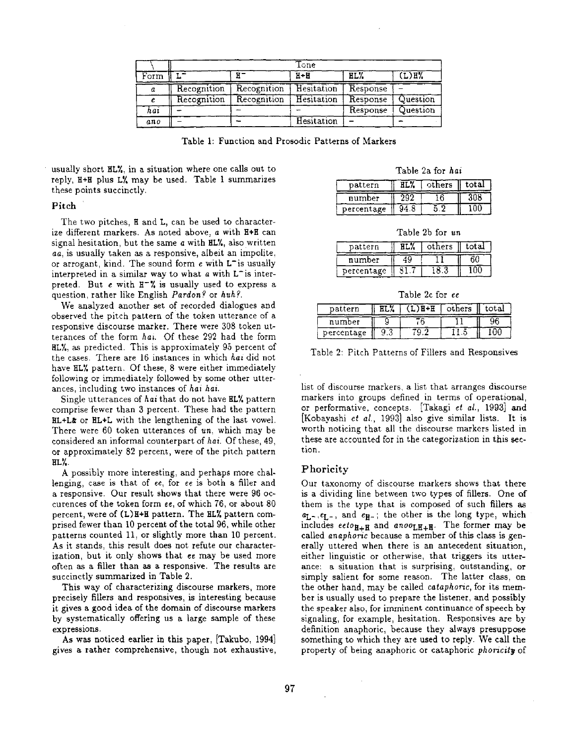|      |             |             | $\text{Tone}$     |          |          |
|------|-------------|-------------|-------------------|----------|----------|
| Form |             |             | $H + H$           | HL%      | (L)H%    |
| a    | Recognition | Recognition | Hesitation        | Response |          |
|      | Recognition | Recognition | Hesitation        | Response | Question |
| hai  |             |             |                   | Response | Question |
| ano  |             |             | <b>Hesitation</b> |          |          |

Table 1: Function and Prosodic Patterns of Markers

usually short HL%, in a situation where one calls out to reply, H+H plus LX may be used. Table 1 summarizes these points succinctly.

#### Pitch

The two pitches, H and L, can be used to characterize different markers. As noted above, a with H+H can signal hesitation, but the same a with HL%, also written *aa,* is usually taken as a responsive, albeit an impolite, or arrogant, kind. The sound form  $e$  with  $L^-$  is usually interpreted in a similar way to what  $a$  with  $L^-$  is interpreted. But  $e$  with  $H^-\%$  is usually used to express a question, rather like English *Pardon?* or *huh?.* 

We analyzed another set of recorded dialogues and observed the pitch pattern of the token utterance of a responsive discourse marker. There were 308 token utterances of the form *has.* Of these 292 had the form HL%, as predicted. This is approximately 95 percent of the cases. There are 16 instances in which *hai* did not have HL% pattern. Of these, 8 were either immediately following or immediately followed by some other utterances, including two instances of *hai hai*.

Single utterances of *hai* that do not have HL% pattern comprise fewer than 3 percent. These had the pattern HL+L& or HL+L with the lengthening of the last vowel. There were 60 token utterances of *un,* which may be considered an informal counterpart of *hal.* Of these, 49, or approximately 82 percent, were of the pitch pattern HAY,.

A possibly more interesting, and perhaps more challenging, case is that of ee, for ee is both a filler and a responsive. Our result shows that there were 96 occurences of the token form ee, of which 76, or about 80 percent, were of  $(L)$ H+H pattern. The HL% pattern comprised fewer than 10 percent of the total 96, while other patterns counted 11, or slightly more than 10 percent. As it stands, this result does not refute our characterization, but it only shows that ee may be used more often as a filler than as a responsive. The results are succinctly summarized in Table 2.

This way of characterizing discourse markers, more precisely fillers and responsives, is interesting because it gives a good idea of the domain of discourse markers by systematically offering us a large sample of these expressions.

As was noticed earlier in this paper, [Takubo, 1994] gives a rather comprehensive, though not exhaustive,

| Table 2a for hai |  |  |  |
|------------------|--|--|--|
|------------------|--|--|--|

| pattern    | RT.Z | others | total |
|------------|------|--------|-------|
| number     |      |        |       |
| percentage |      |        |       |

Table 2b for *un* 

| pattern    | others | total |  |
|------------|--------|-------|--|
| number     |        |       |  |
| percentage |        |       |  |

Table 2c for ee

| pattern    |  | others | total |
|------------|--|--------|-------|
| number     |  |        |       |
| percentage |  |        |       |

Table 2: Pitch Patterns of Fillers and Responsives

list of discourse markers, a list that arranges discourse markers into groups defined in terms of operational, or performative, concepts. [Takagi et *al.,* 1993] and [Kobayashi *et al.,* 1993] also give similar lists. It is worth noticing that all the discourse markers listed in these are accounted for in the categorization in this section.

#### Phoricity

Our taxonomy of discourse markers shows that there is a dividing line between two types of fillers. One of them is the type that is composed of such fillers as  $a_{L^-}, e_{L^-}$ , and  $e_{H^-}$ ; the other is the long type, which includes  $eeto_{H+H}$  and  $anoo_{LH+H}$ . The former may be called *anaphoric* because a member of this class is generally uttered when there is an antecedent situation, either linguistic or otherwise, that triggers its utterance: a situation that is surprising, outstanding, or simply salient for some reason. The latter class, on the other hand, may be called *cataphoric,* for its member is usually used to prepare the listener, and possibly the speaker also, for imminent continuance of speech by signaling, for example, hesitation. Responsives are by definition anaphoric, because they always presuppose something to which they are used to reply. We call the property of being anaphoric or cataphoric *phoricity* of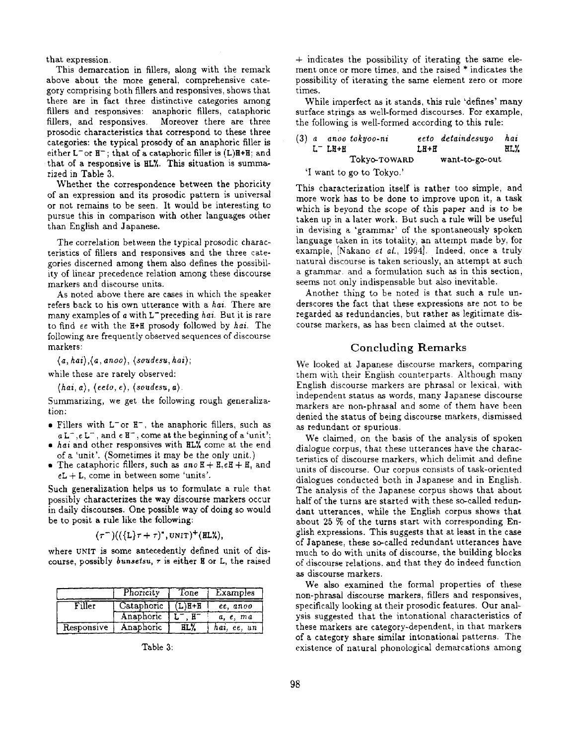that expression.

This demarcation in fillers, along with the remark above about the more general, comprehensive category comprising both fillers and responsives, shows that there are in fact three distinctive categories among fillers and responsives: anaphoric fillers, cataphoric fillers, and responsives. Moreover there are three prosodic characteristics that correspond to these three categories: the typical prosody of an anaphoric filler is either  $L^-$  or  $H^-$ ; that of a cataphoric filler is  $(L)H+H$ ; and that of a responsive is HLY. This situation is summarized in Table 3.

Whether the correspondence between the phoricity of an expression and its prosodic pattern is universal or not remains to be seen. It would be interesting to pursue this in comparison with other languages other than English and Japanese.

The correlation between the typical prosodic characteristics of fillers and responsives and the three categories discerned among them also defines the possibility of linear precedence relation among these discourse markers and discourse units.

As noted above there are cases in which the speaker refers back to his own utterance with a *hal.* There are many examples of a with L<sup>-</sup>preceding *hai*. But it is rare to find ee with the  $H+H$  prosody followed by *hai*. The following are frequently observed sequences of discourse markers:

 $(a, hai), (a, anoo), (soudesu, hai);$ 

while these are rarely observed:

 $\langle hai, a \rangle, \langle eeto, e \rangle, \langle soudesu, a \rangle.$ 

Summarizing, we get the following rough generalization:

- Fillers with  $L^-\text{or } H^-$ , the anaphoric fillers, such as  $a L^-, e L^-$ , and  $e H^-$ , come at the beginning of a 'unit';
- hai and other responsives with **HLW** come at the end of a 'unit'. (Sometimes it may be the only unit.)
- The cataphoric fillers, such as  $a n o H + H_1 e H + H_1$  and  $eL + L$ , come in between some 'units'.

Such generalization helps us to formulate a rule that possibly characterizes the way discourse markers occur in daily discourses. One possible way of doing so would be to posit a rule like the following:

$$
(\tau^-)((\{\mathsf{L}\}\tau+\tau)^*,\text{UNIT})^+(\text{ILL}\lambda),
$$

where UNIT is some antecedently defined unit of discourse, possibly *bunsetsu*,  $\tau$  is either **H** or L, the raised

|            | Phoricity<br>Tone |         | Examples    |
|------------|-------------------|---------|-------------|
| Filler     | Cataphoric        | $L)H+H$ | ee, anoo    |
|            | Anaphoric         |         | a, e, ma    |
| Responsive | Anaphoric         | HL%     | hai, ee, un |

Table 3:

 $+$  indicates the possibility of iterating the same element once or more times, and the raised \* indicates the possibility of iterating the same element zero or more times.

While imperfect as it stands, this rule 'defines' many surface strings as well-formed discourses. For example, the following is well-formed according to this rule:

|  |           | (3) a anoo tokyoo-ni     |        | eeto detaindesuyo | hai  |
|--|-----------|--------------------------|--------|-------------------|------|
|  | $L^ LR+H$ |                          | $LH+H$ |                   | HLY. |
|  |           | Tokyo-TOWARD             |        | want-to-go-out    |      |
|  |           | 'I want to go to Tokyo.' |        |                   |      |

This characterization itself is rather too simple, and more work has to be done to improve upon it, a task which is beyond the scope of this paper and is to be taken up in a later work. But such a rule will be useful in devising a 'grammar' of the spontaneously spoken language taken in its totality, an attempt made by, for example, [Nakano et *al.,* 1994]. Indeed, once a truly natural discourse is taken seriously, an attempt at such a grammar, and a formulation such as in this section, seems not only indispensable but also inevitable.

Another thing to be noted is that such a rule underscores the fact that these expressions are not to be regarded as redundancies, but rather as legitimate discourse markers, as has been claimed at the outset.

# Concluding Remarks

We looked at Japanese discourse markers, comparing them with their English counterparts. Although many English discourse markers are phrasal or lexical, with independent status as words, many Japanese discourse markers are non-phrasal and some of them have been denied the status of being discourse markers, dismissed as redundant or spurious.

We claimed, on the basis of the analysis of spoken dialogue corpus, that these utterances have the characteristics of discourse markers, which delimit and define units of discourse. Our corpus consists of task-oriented dialogues conducted both in Japanese and in English. The analysis of the Japanese corpus shows that about half of the turns are started with these so-called redundant utterances, while the English corpus shows that about 25 % of the turns start with corresponding English expressions. This suggests that at least in the case of Japanese, these so-called redundant utterances have much to do with units of discourse, the building blocks of discourse relations, and that they do indeed function as discourse markers.

We also examined the formal properties of these non-phrasal discourse markers, fillers and responsives, specifically looking at their prosodic features. Our analysis suggested that the intonational characteristics of these markers are category-dependent, in that markers of a category share similar intonational patterns. The existence of natural phonological demarcations among